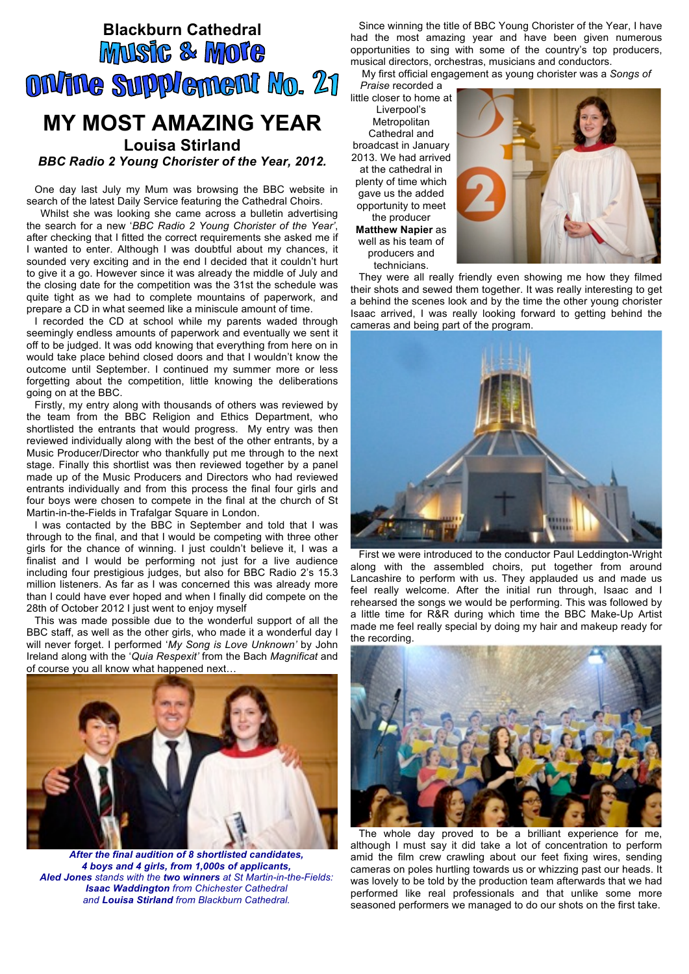## **Blackburn Cathedral**<br>**MUSIC & MOTE** ONANG SUPPLEMENT No. 21

## **MY MOST AMAZING YEAR Louisa Stirland**

*BBC Radio 2 Young Chorister of the Year, 2012.*

One day last July my Mum was browsing the BBC website in search of the latest Daily Service featuring the Cathedral Choirs.

 Whilst she was looking she came across a bulletin advertising the search for a new '*BBC Radio 2 Young Chorister of the Year'*, after checking that I fitted the correct requirements she asked me if I wanted to enter. Although I was doubtful about my chances, it sounded very exciting and in the end I decided that it couldn't hurt to give it a go. However since it was already the middle of July and the closing date for the competition was the 31st the schedule was quite tight as we had to complete mountains of paperwork, and prepare a CD in what seemed like a miniscule amount of time.

I recorded the CD at school while my parents waded through seemingly endless amounts of paperwork and eventually we sent it off to be judged. It was odd knowing that everything from here on in would take place behind closed doors and that I wouldn't know the outcome until September. I continued my summer more or less forgetting about the competition, little knowing the deliberations going on at the BBC.

Firstly, my entry along with thousands of others was reviewed by the team from the BBC Religion and Ethics Department, who shortlisted the entrants that would progress. My entry was then reviewed individually along with the best of the other entrants, by a Music Producer/Director who thankfully put me through to the next stage. Finally this shortlist was then reviewed together by a panel made up of the Music Producers and Directors who had reviewed entrants individually and from this process the final four girls and four boys were chosen to compete in the final at the church of St Martin-in-the-Fields in Trafalgar Square in London.

I was contacted by the BBC in September and told that I was through to the final, and that I would be competing with three other girls for the chance of winning. I just couldn't believe it, I was a finalist and I would be performing not just for a live audience including four prestigious judges, but also for BBC Radio 2's 15.3 million listeners. As far as I was concerned this was already more than I could have ever hoped and when I finally did compete on the 28th of October 2012 I just went to enjoy myself

This was made possible due to the wonderful support of all the BBC staff, as well as the other girls, who made it a wonderful day I will never forget. I performed '*My Song is Love Unknown'* by John Ireland along with the '*Quia Respexit'* from the Bach *Magnificat* and of course you all know what happened next…



*After the final audition of 8 shortlisted candidates, 4 boys and 4 girls, from 1,000s of applicants, Aled Jones stands with the two winners at St Martin-in-the-Fields: Isaac Waddington from Chichester Cathedral and Louisa Stirland from Blackburn Cathedral.*

Since winning the title of BBC Young Chorister of the Year, I have had the most amazing year and have been given numerous opportunities to sing with some of the country's top producers, musical directors, orchestras, musicians and conductors.

My first official engagement as young chorister was a *Songs of* 

*Praise* recorded a little closer to home at Liverpool's Metropolitan Cathedral and broadcast in January 2013. We had arrived at the cathedral in plenty of time which gave us the added opportunity to meet the producer **Matthew Napier** as well as his team of producers and technicians.



They were all really friendly even showing me how they filmed their shots and sewed them together. It was really interesting to get a behind the scenes look and by the time the other young chorister Isaac arrived, I was really looking forward to getting behind the cameras and being part of the program.



First we were introduced to the conductor Paul Leddington-Wright along with the assembled choirs, put together from around Lancashire to perform with us. They applauded us and made us feel really welcome. After the initial run through, Isaac and I rehearsed the songs we would be performing. This was followed by a little time for R&R during which time the BBC Make-Up Artist made me feel really special by doing my hair and makeup ready for the recording.



The whole day proved to be a brilliant experience for me, although I must say it did take a lot of concentration to perform amid the film crew crawling about our feet fixing wires, sending cameras on poles hurtling towards us or whizzing past our heads. It was lovely to be told by the production team afterwards that we had performed like real professionals and that unlike some more seasoned performers we managed to do our shots on the first take.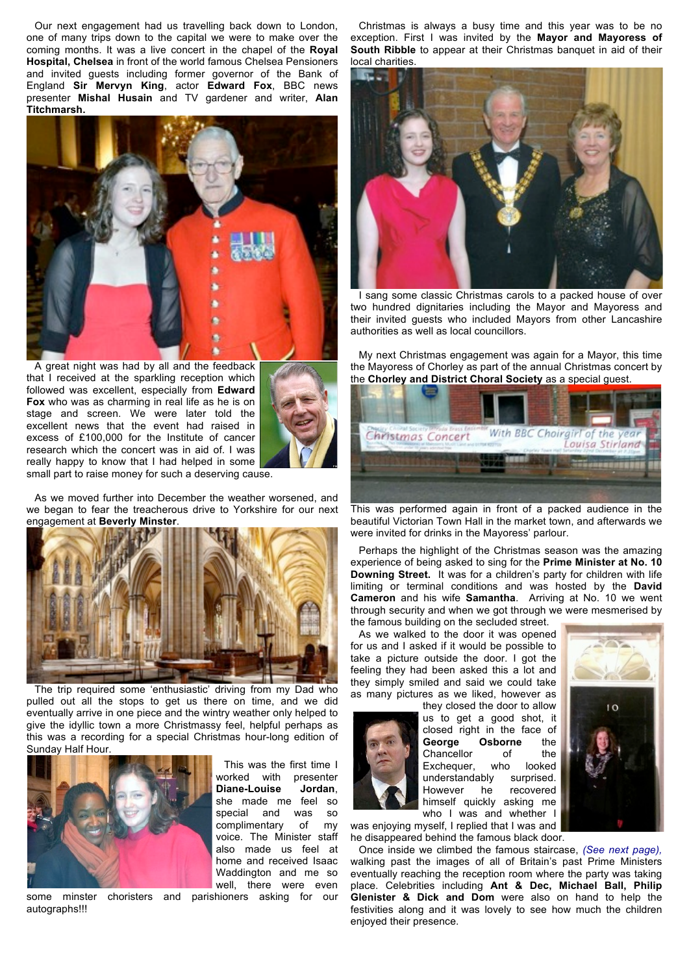Our next engagement had us travelling back down to London, one of many trips down to the capital we were to make over the coming months. It was a live concert in the chapel of the **Royal Hospital, Chelsea** in front of the world famous Chelsea Pensioners and invited guests including former governor of the Bank of England **Sir Mervyn King**, actor **Edward Fox**, BBC news presenter **Mishal Husain** and TV gardener and writer, **Alan Titchmarsh.** 



A great night was had by all and the feedback that I received at the sparkling reception which followed was excellent, especially from **Edward Fox** who was as charming in real life as he is on stage and screen. We were later told the excellent news that the event had raised in excess of £100,000 for the Institute of cancer research which the concert was in aid of. I was really happy to know that I had helped in some small part to raise money for such a deserving cause.



As we moved further into December the weather worsened, and we began to fear the treacherous drive to Yorkshire for our next engagement at **Beverly Minster**.



The trip required some 'enthusiastic' driving from my Dad who pulled out all the stops to get us there on time, and we did eventually arrive in one piece and the wintry weather only helped to give the idyllic town a more Christmassy feel, helpful perhaps as this was a recording for a special Christmas hour-long edition of Sunday Half Hour.



This was the first time I worked with presenter **Diane-Louise Jordan**, she made me feel so special and was so complimentary of my voice. The Minister staff also made us feel at home and received Isaac Waddington and me so well, there were even

some minster choristers and parishioners asking for our autographs!!!

Christmas is always a busy time and this year was to be no exception. First I was invited by the **Mayor and Mayoress of South Ribble** to appear at their Christmas banquet in aid of their local charities.



I sang some classic Christmas carols to a packed house of over two hundred dignitaries including the Mayor and Mayoress and their invited guests who included Mayors from other Lancashire authorities as well as local councillors.

My next Christmas engagement was again for a Mayor, this time the Mayoress of Chorley as part of the annual Christmas concert by the **Chorley and District Choral Society** as a special guest.



This was performed again in front of a packed audience in the beautiful Victorian Town Hall in the market town, and afterwards we were invited for drinks in the Mayoress' parlour.

Perhaps the highlight of the Christmas season was the amazing experience of being asked to sing for the **Prime Minister at No. 10 Downing Street.** It was for a children's party for children with life limiting or terminal conditions and was hosted by the **David Cameron** and his wife **Samantha**. Arriving at No. 10 we went through security and when we got through we were mesmerised by the famous building on the secluded street.

As we walked to the door it was opened for us and I asked if it would be possible to take a picture outside the door. I got the feeling they had been asked this a lot and they simply smiled and said we could take as many pictures as we liked, however as



they closed the door to allow us to get a good shot, it closed right in the face of<br> **George Osborne** the George Osborne Chancellor of the Exchequer, who looked understandably surprised. However he recovered himself quickly asking me who I was and whether I



was enjoying myself, I replied that I was and he disappeared behind the famous black door.

Once inside we climbed the famous staircase, *(See next page),* walking past the images of all of Britain's past Prime Ministers eventually reaching the reception room where the party was taking place. Celebrities including **Ant & Dec, Michael Ball, Philip Glenister & Dick and Dom** were also on hand to help the festivities along and it was lovely to see how much the children enjoyed their presence.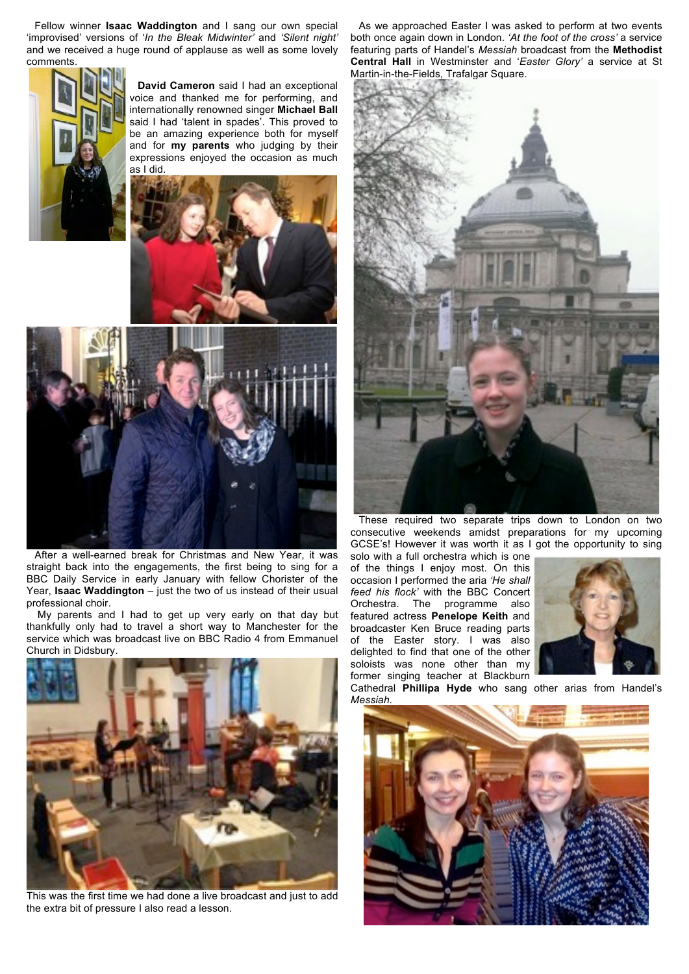Fellow winner **Isaac Waddington** and I sang our own special 'improvised' versions of '*In the Bleak Midwinter'* and *'Silent night'* and we received a huge round of applause as well as some lovely comments.



**David Cameron** said I had an exceptional voice and thanked me for performing, and internationally renowned singer **Michael Ball** said I had 'talent in spades'. This proved to be an amazing experience both for myself and for **my parents** who judging by their expressions enjoyed the occasion as much as I did.





After a well-earned break for Christmas and New Year, it was straight back into the engagements, the first being to sing for a BBC Daily Service in early January with fellow Chorister of the Year, **Isaac Waddington** – just the two of us instead of their usual professional choir.

My parents and I had to get up very early on that day but thankfully only had to travel a short way to Manchester for the service which was broadcast live on BBC Radio 4 from Emmanuel Church in Didsbury.



This was the first time we had done a live broadcast and just to add the extra bit of pressure I also read a lesson.

As we approached Easter I was asked to perform at two events both once again down in London. *'At the foot of the cross'* a service featuring parts of Handel's *Messiah* broadcast from the **Methodist Central Hall** in Westminster and '*Easter Glory'* a service at St Martin-in-the-Fields, Trafalgar Square.



These required two separate trips down to London on two consecutive weekends amidst preparations for my upcoming GCSE's! However it was worth it as I got the opportunity to sing

solo with a full orchestra which is one of the things I enjoy most. On this occasion I performed the aria *'He shall feed his flock'* with the BBC Concert Orchestra. The programme also featured actress **Penelope Keith** and broadcaster Ken Bruce reading parts of the Easter story. I was also delighted to find that one of the other soloists was none other than my former singing teacher at Blackburn



Cathedral **Phillipa Hyde** who sang other arias from Handel's *Messiah*.

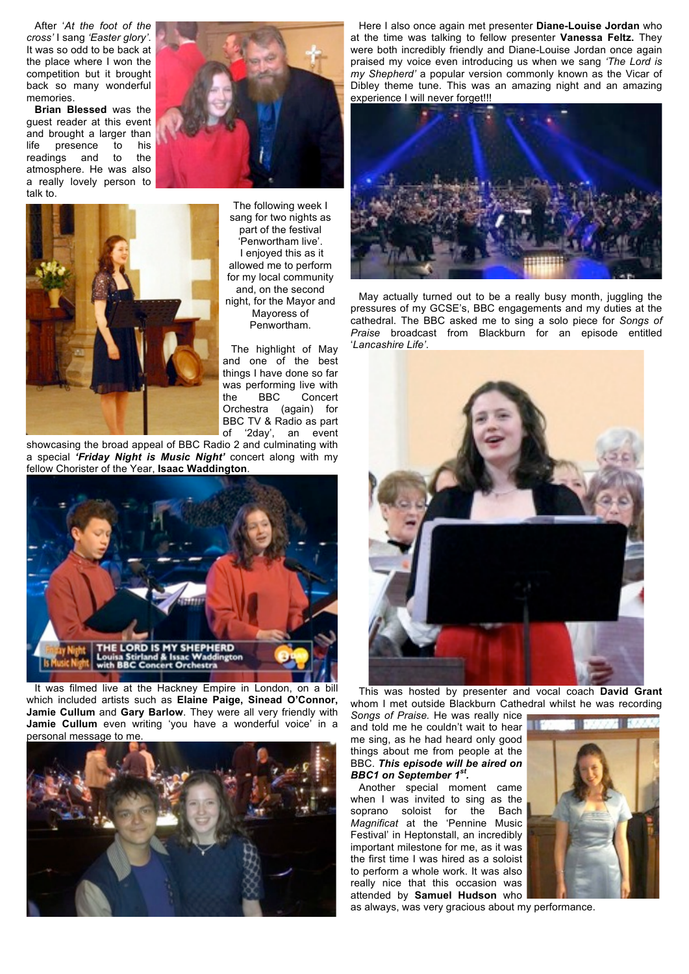After '*At the foot of the cross'* I sang *'Easter glory'*. It was so odd to be back at the place where I won the competition but it brought back so many wonderful memories.

**Brian Blessed** was the guest reader at this event and brought a larger than life presence to his readings and to the atmosphere. He was also a really lovely person to talk to.



The following week I sang for two nights as part of the festival 'Penwortham live'. I enjoyed this as it allowed me to perform for my local community and, on the second night, for the Mayor and Mayoress of Penwortham.

The highlight of May and one of the best things I have done so far was performing live with the BBC Concert Orchestra (again) for BBC TV & Radio as part of '2day', an event

showcasing the broad appeal of BBC Radio 2 and culminating with a special *'Friday Night is Music Night'* concert along with my fellow Chorister of the Year, **Isaac Waddington**.



It was filmed live at the Hackney Empire in London, on a bill which included artists such as **Elaine Paige, Sinead O'Connor, Jamie Cullum** and **Gary Barlow**. They were all very friendly with **Jamie Cullum** even writing 'you have a wonderful voice' in a personal message to me.



Here I also once again met presenter **Diane-Louise Jordan** who at the time was talking to fellow presenter **Vanessa Feltz.** They were both incredibly friendly and Diane-Louise Jordan once again praised my voice even introducing us when we sang *'The Lord is my Shepherd'* a popular version commonly known as the Vicar of Dibley theme tune. This was an amazing night and an amazing experience I will never forget!!!



May actually turned out to be a really busy month, juggling the pressures of my GCSE's, BBC engagements and my duties at the cathedral. The BBC asked me to sing a solo piece for *Songs of Praise* broadcast from Blackburn for an episode entitled '*Lancashire Life'*.



This was hosted by presenter and vocal coach **David Grant**  whom I met outside Blackburn Cathedral whilst he was recording

*Songs of Praise.* He was really nice and told me he couldn't wait to hear me sing, as he had heard only good things about me from people at the BBC. *This episode will be aired on BBC1 on September 1st.*

Another special moment came when I was invited to sing as the<br>soprano soloist for the Bach soprano soloist for the Bach *Magnificat* at the 'Pennine Music Festival' in Heptonstall, an incredibly important milestone for me, as it was the first time I was hired as a soloist to perform a whole work. It was also really nice that this occasion was attended by **Samuel Hudson** who



as always, was very gracious about my performance.